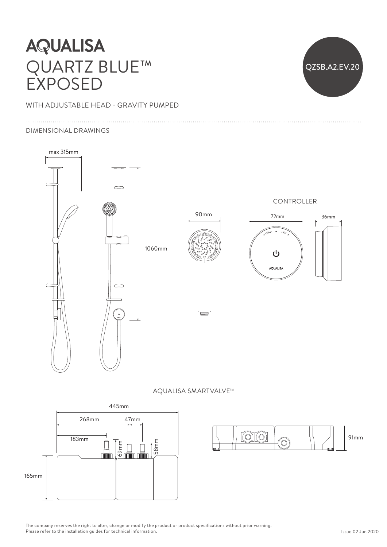# **AQUALISA** QUARTZ BLUE™ EXPOSED



## WITH ADJUSTABLE HEAD - GRAVITY PUMPED

#### DIMENSIONAL DRAWINGS



#### AQUALISA SMARTVALVE™